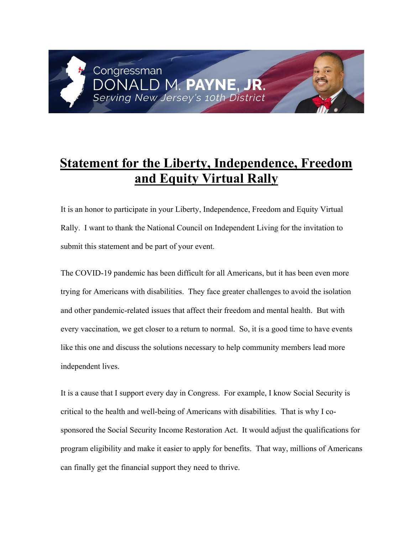## Congressman D M P Serving New Jersey's 10th District

## **Statement for the Liberty, Independence, Freedom and Equity Virtual Rally**

It is an honor to participate in your Liberty, Independence, Freedom and Equity Virtual Rally. I want to thank the National Council on Independent Living for the invitation to submit this statement and be part of your event.

The COVID-19 pandemic has been difficult for all Americans, but it has been even more trying for Americans with disabilities. They face greater challenges to avoid the isolation and other pandemic-related issues that affect their freedom and mental health. But with every vaccination, we get closer to a return to normal. So, it is a good time to have events like this one and discuss the solutions necessary to help community members lead more independent lives.

It is a cause that I support every day in Congress. For example, I know Social Security is critical to the health and well-being of Americans with disabilities. That is why I cosponsored the Social Security Income Restoration Act. It would adjust the qualifications for program eligibility and make it easier to apply for benefits. That way, millions of Americans can finally get the financial support they need to thrive.